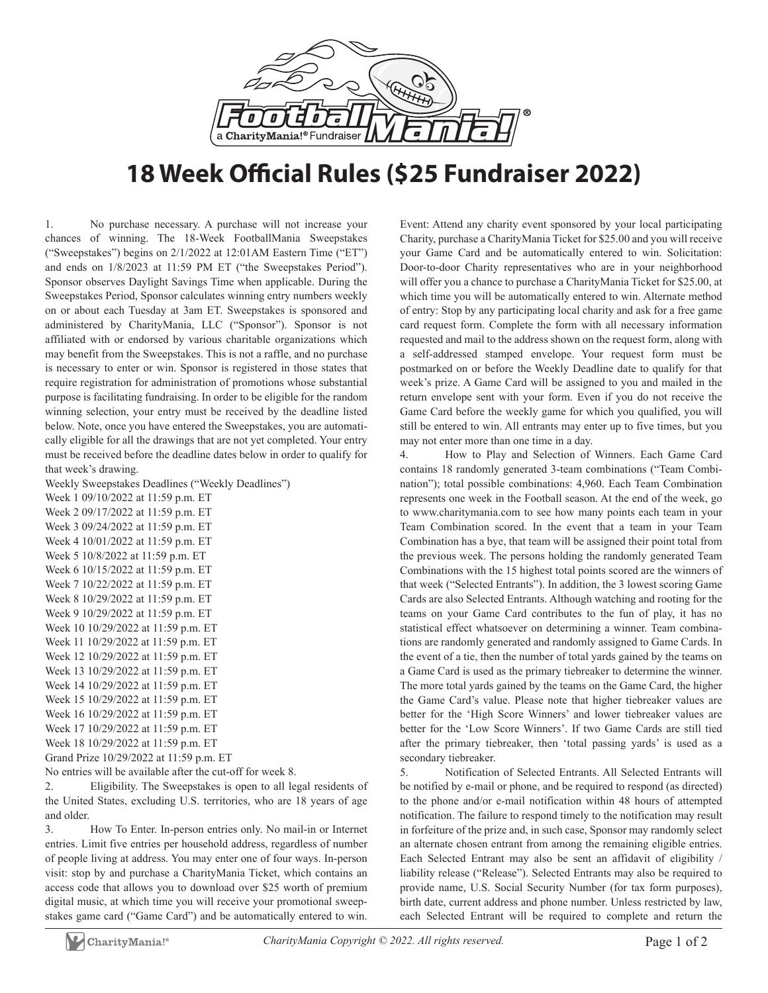

## **18 Week Official Rules (\$25 Fundraiser 2022)**

1. No purchase necessary. A purchase will not increase your chances of winning. The 18-Week FootballMania Sweepstakes ("Sweepstakes") begins on 2/1/2022 at 12:01AM Eastern Time ("ET") and ends on 1/8/2023 at 11:59 PM ET ("the Sweepstakes Period"). Sponsor observes Daylight Savings Time when applicable. During the Sweepstakes Period, Sponsor calculates winning entry numbers weekly on or about each Tuesday at 3am ET. Sweepstakes is sponsored and administered by CharityMania, LLC ("Sponsor"). Sponsor is not affiliated with or endorsed by various charitable organizations which may benefit from the Sweepstakes. This is not a raffle, and no purchase is necessary to enter or win. Sponsor is registered in those states that require registration for administration of promotions whose substantial purpose is facilitating fundraising. In order to be eligible for the random winning selection, your entry must be received by the deadline listed below. Note, once you have entered the Sweepstakes, you are automatically eligible for all the drawings that are not yet completed. Your entry must be received before the deadline dates below in order to qualify for that week's drawing.

Weekly Sweepstakes Deadlines ("Weekly Deadlines")

Week 1 09/10/2022 at 11:59 p.m. ET Week 2 09/17/2022 at 11:59 p.m. ET Week 3 09/24/2022 at 11:59 p.m. ET Week 4 10/01/2022 at 11:59 p.m. ET Week 5 10/8/2022 at 11:59 p.m. ET Week 6 10/15/2022 at 11:59 p.m. ET Week 7 10/22/2022 at 11:59 p.m. ET Week 8 10/29/2022 at 11:59 p.m. ET Week 9 10/29/2022 at 11:59 p.m. ET Week 10 10/29/2022 at 11:59 p.m. ET Week 11 10/29/2022 at 11:59 p.m. ET Week 12 10/29/2022 at 11:59 p.m. ET Week 13 10/29/2022 at 11:59 p.m. ET Week 14 10/29/2022 at 11:59 p.m. ET Week 15 10/29/2022 at 11:59 p.m. ET Week 16 10/29/2022 at 11:59 p.m. ET Week 17 10/29/2022 at 11:59 p.m. ET Week 18 10/29/2022 at 11:59 p.m. ET

Grand Prize 10/29/2022 at 11:59 p.m. ET

No entries will be available after the cut-off for week 8.

2. Eligibility. The Sweepstakes is open to all legal residents of the United States, excluding U.S. territories, who are 18 years of age and older.

3. How To Enter. In-person entries only. No mail-in or Internet entries. Limit five entries per household address, regardless of number of people living at address. You may enter one of four ways. In-person visit: stop by and purchase a CharityMania Ticket, which contains an access code that allows you to download over \$25 worth of premium digital music, at which time you will receive your promotional sweepstakes game card ("Game Card") and be automatically entered to win.

Event: Attend any charity event sponsored by your local participating Charity, purchase a CharityMania Ticket for \$25.00 and you will receive your Game Card and be automatically entered to win. Solicitation: Door-to-door Charity representatives who are in your neighborhood will offer you a chance to purchase a CharityMania Ticket for \$25.00, at which time you will be automatically entered to win. Alternate method of entry: Stop by any participating local charity and ask for a free game card request form. Complete the form with all necessary information requested and mail to the address shown on the request form, along with a self-addressed stamped envelope. Your request form must be postmarked on or before the Weekly Deadline date to qualify for that week's prize. A Game Card will be assigned to you and mailed in the return envelope sent with your form. Even if you do not receive the Game Card before the weekly game for which you qualified, you will still be entered to win. All entrants may enter up to five times, but you may not enter more than one time in a day.

4. How to Play and Selection of Winners. Each Game Card contains 18 randomly generated 3-team combinations ("Team Combination"); total possible combinations: 4,960. Each Team Combination represents one week in the Football season. At the end of the week, go to www.charitymania.com to see how many points each team in your Team Combination scored. In the event that a team in your Team Combination has a bye, that team will be assigned their point total from the previous week. The persons holding the randomly generated Team Combinations with the 15 highest total points scored are the winners of that week ("Selected Entrants"). In addition, the 3 lowest scoring Game Cards are also Selected Entrants. Although watching and rooting for the teams on your Game Card contributes to the fun of play, it has no statistical effect whatsoever on determining a winner. Team combinations are randomly generated and randomly assigned to Game Cards. In the event of a tie, then the number of total yards gained by the teams on a Game Card is used as the primary tiebreaker to determine the winner. The more total yards gained by the teams on the Game Card, the higher the Game Card's value. Please note that higher tiebreaker values are better for the 'High Score Winners' and lower tiebreaker values are better for the 'Low Score Winners'. If two Game Cards are still tied after the primary tiebreaker, then 'total passing yards' is used as a secondary tiebreaker.

5. Notification of Selected Entrants. All Selected Entrants will be notified by e-mail or phone, and be required to respond (as directed) to the phone and/or e-mail notification within 48 hours of attempted notification. The failure to respond timely to the notification may result in forfeiture of the prize and, in such case, Sponsor may randomly select an alternate chosen entrant from among the remaining eligible entries. Each Selected Entrant may also be sent an affidavit of eligibility / liability release ("Release"). Selected Entrants may also be required to provide name, U.S. Social Security Number (for tax form purposes), birth date, current address and phone number. Unless restricted by law, each Selected Entrant will be required to complete and return the